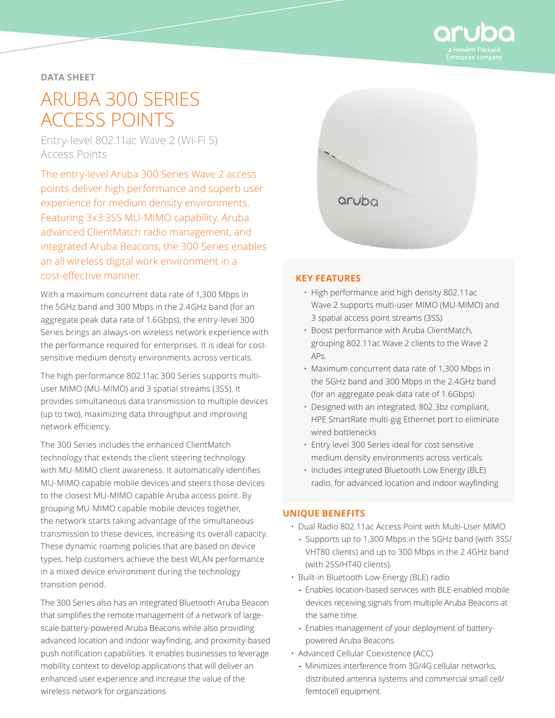

### **DATA SHEET**

# ARUBA 300 SERIES ACCESS POINTS

Entry-level 802.11ac Wave 2 (Wi-Fi 5) Access Points

The entry-level Aruba 300 Series Wave 2 access points deliver high performance and superb user experience for medium density environments. Featuring 3x3:3SS MU-MIMO capability, Aruba advanced ClientMatch radio management, and integrated Aruba Beacons, the 300 Series enables an all wireless digital work environment in a cost‑effective manner.

With a maximum concurrent data rate of 1,300 Mbps in the 5GHz band and 300 Mbps in the 2.4GHz band (for an aggregate peak data rate of 1.6Gbps), the entry-level 300 Series brings an always-on wireless network experience with the performance required for enterprises. It is ideal for costsensitive medium density environments across verticals.

The high performance 802.11ac 300 Series supports multiuser MIMO (MU-MIMO) and 3 spatial streams (3SS). It provides simultaneous data transmission to multiple devices (up to two), maximizing data throughput and improving network efficiency.

The 300 Series includes the enhanced ClientMatch technology that extends the client steering technology with MU-MIMO client awareness. It automatically identifies MU-MIMO capable mobile devices and steers those devices to the closest MU-MIMO capable Aruba access point. By grouping MU-MIMO capable mobile devices together, the network starts taking advantage of the simultaneous transmission to these devices, increasing its overall capacity. These dynamic roaming policies that are based on device types, help customers achieve the best WLAN performance in a mixed device environment during the technology transition period.

The 300 Series also has an integrated Bluetooth Aruba Beacon that simplifies the remote management of a network of largescale battery-powered Aruba Beacons while also providing advanced location and indoor wayfinding, and proximity-based push notification capabilities. It enables businesses to leverage mobility context to develop applications that will deliver an enhanced user experience and increase the value of the wireless network for organizations



#### **KEY FEATURES**

- High performance and high density 802.11ac Wave 2 supports multi-user MIMO (MU-MIMO) and 3 spatial access point streams (3SS)
- Boost performance with Aruba ClientMatch, grouping 802.11ac Wave 2 clients to the Wave 2 APs.
- Maximum concurrent data rate of 1,300 Mbps in the 5GHz band and 300 Mbps in the 2.4GHz band (for an aggregate peak data rate of 1.6Gbps)
- Designed with an integrated, 802.3bz compliant, HPE SmartRate multi-gig Ethernet port to eliminate wired bottlenecks
- Entry level 300 Series ideal for cost sensitive medium density environments across verticals
- Includes integrated Bluetooth Low Energy (BLE) radio, for advanced location and indoor wayfinding

#### **UNIQUE BENEFITS**

- Dual Radio 802.11ac Access Point with Multi-User MIMO
- **-** Supports up to 1,300 Mbps in the 5GHz band (with 3SS/ VHT80 clients) and up to 300 Mbps in the 2.4GHz band (with 2SS/HT40 clients).
- Built-in Bluetooth Low-Energy (BLE) radio
	- **-** Enables location-based services with BLE-enabled mobile devices receiving signals from multiple Aruba Beacons at the same time.
	- **-** Enables management of your deployment of batterypowered Aruba Beacons.
- Advanced Cellular Coexistence (ACC)
	- **-** Minimizes interference from 3G/4G cellular networks, distributed antenna systems and commercial small cell/ femtocell equipment.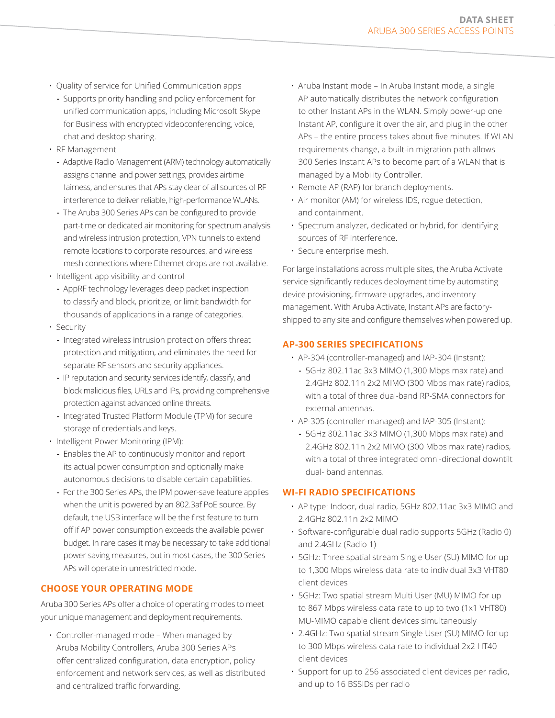- Quality of service for Unified Communication apps
- **-** Supports priority handling and policy enforcement for unified communication apps, including Microsoft Skype for Business with encrypted videoconferencing, voice, chat and desktop sharing.
- RF Management
	- **-** Adaptive Radio Management (ARM) technology automatically assigns channel and power settings, provides airtime fairness, and ensures that APs stay clear of all sources of RF interference to deliver reliable, high-performance WLANs.
	- **-** The Aruba 300 Series APs can be configured to provide part-time or dedicated air monitoring for spectrum analysis and wireless intrusion protection, VPN tunnels to extend remote locations to corporate resources, and wireless mesh connections where Ethernet drops are not available.
- Intelligent app visibility and control
	- **-** AppRF technology leverages deep packet inspection to classify and block, prioritize, or limit bandwidth for thousands of applications in a range of categories.
- Security
	- **-** Integrated wireless intrusion protection offers threat protection and mitigation, and eliminates the need for separate RF sensors and security appliances.
	- **-** IP reputation and security services identify, classify, and block malicious files, URLs and IPs, providing comprehensive protection against advanced online threats.
	- **-** Integrated Trusted Platform Module (TPM) for secure storage of credentials and keys.
- Intelligent Power Monitoring (IPM):
	- **-** Enables the AP to continuously monitor and report its actual power consumption and optionally make autonomous decisions to disable certain capabilities.
	- **-** For the 300 Series APs, the IPM power-save feature applies when the unit is powered by an 802.3af PoE source. By default, the USB interface will be the first feature to turn off if AP power consumption exceeds the available power budget. In rare cases it may be necessary to take additional power saving measures, but in most cases, the 300 Series APs will operate in unrestricted mode.

# **CHOOSE YOUR OPERATING MODE**

Aruba 300 Series APs offer a choice of operating modes to meet your unique management and deployment requirements.

• Controller-managed mode – When managed by Aruba Mobility Controllers, Aruba 300 Series APs offer centralized configuration, data encryption, policy enforcement and network services, as well as distributed and centralized traffic forwarding.

- Aruba Instant mode In Aruba Instant mode, a single AP automatically distributes the network configuration to other Instant APs in the WLAN. Simply power-up one Instant AP, configure it over the air, and plug in the other APs – the entire process takes about five minutes. If WLAN requirements change, a built-in migration path allows 300 Series Instant APs to become part of a WLAN that is managed by a Mobility Controller.
- Remote AP (RAP) for branch deployments.
- Air monitor (AM) for wireless IDS, rogue detection, and containment.
- Spectrum analyzer, dedicated or hybrid, for identifying sources of RF interference.
- Secure enterprise mesh.

For large installations across multiple sites, the Aruba Activate service significantly reduces deployment time by automating device provisioning, firmware upgrades, and inventory management. With Aruba Activate, Instant APs are factoryshipped to any site and configure themselves when powered up.

## **AP-300 SERIES SPECIFICATIONS**

- AP-304 (controller-managed) and IAP-304 (Instant):
	- **-** 5GHz 802.11ac 3x3 MIMO (1,300 Mbps max rate) and 2.4GHz 802.11n 2x2 MIMO (300 Mbps max rate) radios, with a total of three dual-band RP-SMA connectors for external antennas.
- AP-305 (controller-managed) and IAP-305 (Instant):
	- **-** 5GHz 802.11ac 3x3 MIMO (1,300 Mbps max rate) and 2.4GHz 802.11n 2x2 MIMO (300 Mbps max rate) radios, with a total of three integrated omni-directional downtilt dual- band antennas.

#### **WI-FI RADIO SPECIFICATIONS**

- AP type: Indoor, dual radio, 5GHz 802.11ac 3x3 MIMO and 2.4GHz 802.11n 2x2 MIMO
- Software-configurable dual radio supports 5GHz (Radio 0) and 2.4GHz (Radio 1)
- 5GHz: Three spatial stream Single User (SU) MIMO for up to 1,300 Mbps wireless data rate to individual 3x3 VHT80 client devices
- 5GHz: Two spatial stream Multi User (MU) MIMO for up to 867 Mbps wireless data rate to up to two (1x1 VHT80) MU-MIMO capable client devices simultaneously
- 2.4GHz: Two spatial stream Single User (SU) MIMO for up to 300 Mbps wireless data rate to individual 2x2 HT40 client devices
- Support for up to 256 associated client devices per radio, and up to 16 BSSIDs per radio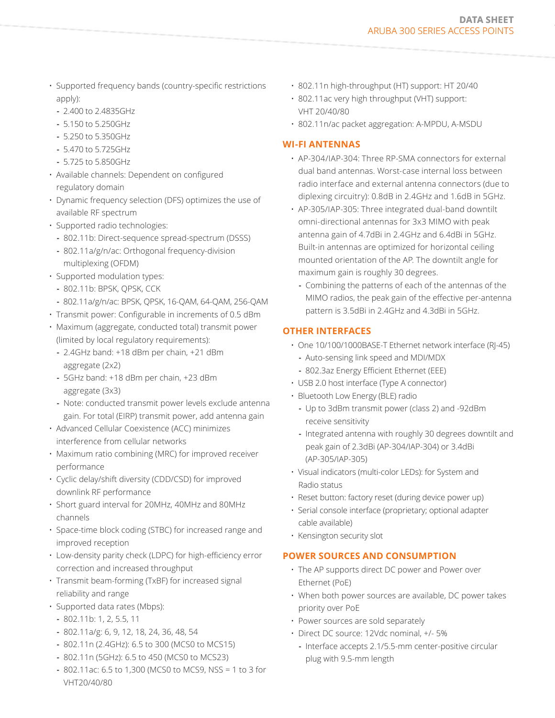- Supported frequency bands (country-specific restrictions apply):
	- **-** 2.400 to 2.4835GHz
	- **-** 5.150 to 5.250GHz
	- **-** 5.250 to 5.350GHz
	- **-** 5.470 to 5.725GHz
	- **-** 5.725 to 5.850GHz
- Available channels: Dependent on configured regulatory domain
- Dynamic frequency selection (DFS) optimizes the use of available RF spectrum
- Supported radio technologies:
	- **-** 802.11b: Direct-sequence spread-spectrum (DSSS)
	- **-** 802.11a/g/n/ac: Orthogonal frequency-division multiplexing (OFDM)
- Supported modulation types:
	- **-** 802.11b: BPSK, QPSK, CCK
	- **-** 802.11a/g/n/ac: BPSK, QPSK, 16-QAM, 64-QAM, 256-QAM
- Transmit power: Configurable in increments of 0.5 dBm
- Maximum (aggregate, conducted total) transmit power (limited by local regulatory requirements):
	- **-** 2.4GHz band: +18 dBm per chain, +21 dBm aggregate (2x2)
	- **-** 5GHz band: +18 dBm per chain, +23 dBm aggregate (3x3)
- **-** Note: conducted transmit power levels exclude antenna gain. For total (EIRP) transmit power, add antenna gain
- Advanced Cellular Coexistence (ACC) minimizes interference from cellular networks
- Maximum ratio combining (MRC) for improved receiver performance
- Cyclic delay/shift diversity (CDD/CSD) for improved downlink RF performance
- Short guard interval for 20MHz, 40MHz and 80MHz channels
- Space-time block coding (STBC) for increased range and improved reception
- Low-density parity check (LDPC) for high-efficiency error correction and increased throughput
- Transmit beam-forming (TxBF) for increased signal reliability and range
- Supported data rates (Mbps):
	- **-** 802.11b: 1, 2, 5.5, 11
	- **-** 802.11a/g: 6, 9, 12, 18, 24, 36, 48, 54
	- **-** 802.11n (2.4GHz): 6.5 to 300 (MCS0 to MCS15)
	- **-** 802.11n (5GHz): 6.5 to 450 (MCS0 to MCS23)
	- **-** 802.11ac: 6.5 to 1,300 (MCS0 to MCS9, NSS = 1 to 3 for VHT20/40/80
- 802.11n high-throughput (HT) support: HT 20/40
- 802.11ac very high throughput (VHT) support: VHT 20/40/80
- 802.11n/ac packet aggregation: A-MPDU, A-MSDU

## **WI-FI ANTENNAS**

- AP-304/IAP-304: Three RP-SMA connectors for external dual band antennas. Worst-case internal loss between radio interface and external antenna connectors (due to diplexing circuitry): 0.8dB in 2.4GHz and 1.6dB in 5GHz.
- AP-305/IAP-305: Three integrated dual-band downtilt omni-directional antennas for 3x3 MIMO with peak antenna gain of 4.7dBi in 2.4GHz and 6.4dBi in 5GHz. Built-in antennas are optimized for horizontal ceiling mounted orientation of the AP. The downtilt angle for maximum gain is roughly 30 degrees.
	- **-** Combining the patterns of each of the antennas of the MIMO radios, the peak gain of the effective per-antenna pattern is 3.5dBi in 2.4GHz and 4.3dBi in 5GHz.

# **OTHER INTERFACES**

- One 10/100/1000BASE-T Ethernet network interface (RJ-45)
	- **-** Auto-sensing link speed and MDI/MDX
	- **-** 802.3az Energy Efficient Ethernet (EEE)
- USB 2.0 host interface (Type A connector)
- Bluetooth Low Energy (BLE) radio
	- **-** Up to 3dBm transmit power (class 2) and -92dBm receive sensitivity
	- **-** Integrated antenna with roughly 30 degrees downtilt and peak gain of 2.3dBi (AP-304/IAP-304) or 3.4dBi (AP-305/IAP-305)
- Visual indicators (multi-color LEDs): for System and Radio status
- Reset button: factory reset (during device power up)
- Serial console interface (proprietary; optional adapter cable available)
- Kensington security slot

# **POWER SOURCES AND CONSUMPTION**

- The AP supports direct DC power and Power over Ethernet (PoE)
- When both power sources are available, DC power takes priority over PoE
- Power sources are sold separately
- Direct DC source: 12Vdc nominal, +/- 5%
	- **-** Interface accepts 2.1/5.5-mm center-positive circular plug with 9.5-mm length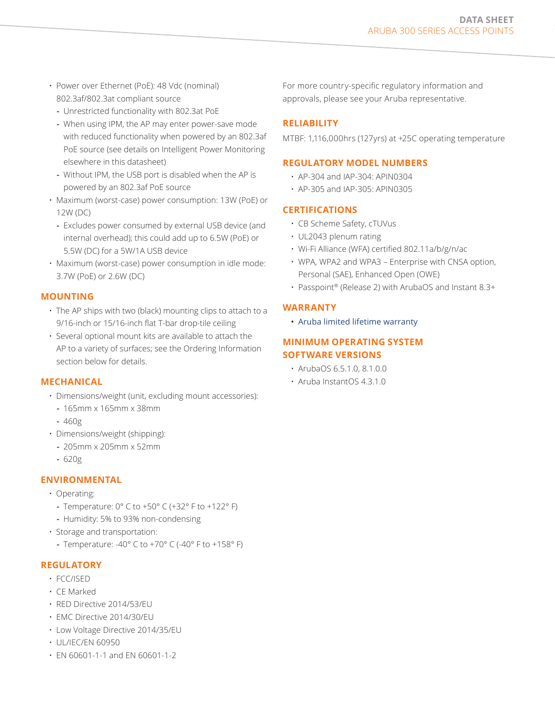- Power over Ethernet (PoE): 48 Vdc (nominal) 802.3af/802.3at compliant source
	- **-** Unrestricted functionality with 802.3at PoE
	- **-** When using IPM, the AP may enter power-save mode with reduced functionality when powered by an 802.3af PoE source (see details on Intelligent Power Monitoring elsewhere in this datasheet)
	- **-** Without IPM, the USB port is disabled when the AP is powered by an 802.3af PoE source
- Maximum (worst-case) power consumption: 13W (PoE) or 12W (DC)
	- **-** Excludes power consumed by external USB device (and internal overhead); this could add up to 6.5W (PoE) or 5.5W (DC) for a 5W/1A USB device
- Maximum (worst-case) power consumption in idle mode: 3.7W (PoE) or 2.6W (DC)

## **MOUNTING**

- The AP ships with two (black) mounting clips to attach to a 9/16-inch or 15/16-inch flat T-bar drop-tile ceiling
- Several optional mount kits are available to attach the AP to a variety of surfaces; see the Ordering Information section below for details.

#### **MECHANICAL**

- Dimensions/weight (unit, excluding mount accessories):
	- **-** 165mm x 165mm x 38mm
	- **-** 460g
- Dimensions/weight (shipping):
	- **-** 205mm x 205mm x 52mm
	- **-** 620g

## **ENVIRONMENTAL**

- Operating:
	- **-** Temperature: 0° C to +50° C (+32° F to +122° F)
	- **-** Humidity: 5% to 93% non-condensing
- Storage and transportation:
	- **-** Temperature: -40° C to +70° C (-40° F to +158° F)

#### **REGULATORY**

- FCC/ISED
- CE Marked
- RED Directive 2014/53/EU
- EMC Directive 2014/30/EU
- Low Voltage Directive 2014/35/EU
- UL/IEC/EN 60950
- EN 60601-1-1 and EN 60601-1-2

For more country-specific regulatory information and approvals, please see your Aruba representative.

## **RELIABILITY**

MTBF: 1,116,000hrs (127yrs) at +25C operating temperature

#### **REGULATORY MODEL NUMBERS**

- AP-304 and IAP-304: APIN0304
- AP-305 and IAP-305: APIN0305

### **CERTIFICATIONS**

- CB Scheme Safety, cTUVus
- UL2043 plenum rating
- Wi-Fi Alliance (WFA) certified 802.11a/b/g/n/ac
- WPA, WPA2 and WPA3 Enterprise with CNSA option, Personal (SAE), Enhanced Open (OWE)
- Passpoint® (Release 2) with ArubaOS and Instant 8.3+

#### **WARRANTY**

• [Aruba limited lifetime warranty](http://www.arubanetworks.com/support-services/product-warranties/)

## **MINIMUM OPERATING SYSTEM SOFTWARE VERSIONS**

- ArubaOS 6.5.1.0, 8.1.0.0
- $\cdot$  Aruba InstantOS 4.3.1.0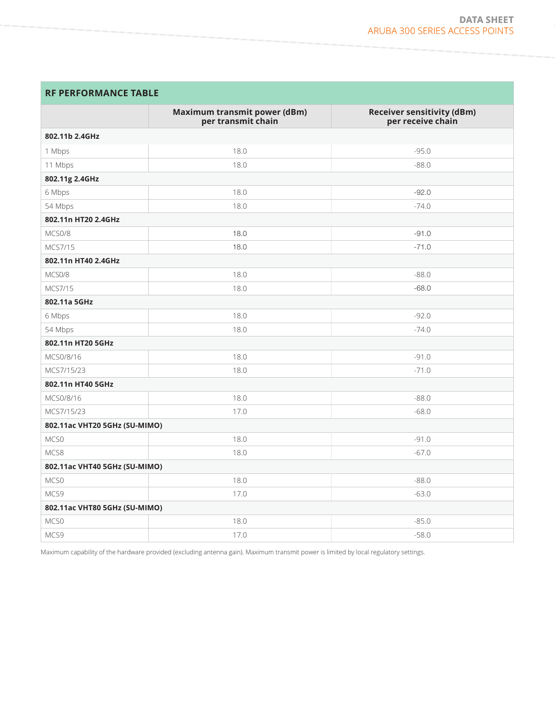# **RF PERFORMANCE TABLE**

|                               | <b>Maximum transmit power (dBm)</b> | <b>Receiver sensitivity (dBm)</b> |  |  |  |
|-------------------------------|-------------------------------------|-----------------------------------|--|--|--|
|                               | per transmit chain                  | per receive chain                 |  |  |  |
| 802.11b 2.4GHz                |                                     |                                   |  |  |  |
| 1 Mbps                        | 18.0                                | $-95.0$                           |  |  |  |
| 11 Mbps                       | 18.0                                | $-88.0$                           |  |  |  |
| 802.11g 2.4GHz                |                                     |                                   |  |  |  |
| 6 Mbps                        | 18.0                                | $-92.0$                           |  |  |  |
| 54 Mbps                       | 18.0                                | $-74.0$                           |  |  |  |
| 802.11n HT20 2.4GHz           |                                     |                                   |  |  |  |
| MCS0/8                        | 18.0                                | $-91.0$                           |  |  |  |
| MCS7/15                       | 18.0                                | $-71.0$                           |  |  |  |
| 802.11n HT40 2.4GHz           |                                     |                                   |  |  |  |
| MCS0/8                        | 18.0                                | $-88.0$                           |  |  |  |
| MCS7/15                       | 18.0                                | $-68.0$                           |  |  |  |
| 802.11a 5GHz                  |                                     |                                   |  |  |  |
| 6 Mbps                        | 18.0                                | $-92.0$                           |  |  |  |
| 54 Mbps                       | 18.0                                | $-74.0$                           |  |  |  |
| 802.11n HT20 5GHz             |                                     |                                   |  |  |  |
| MCS0/8/16                     | 18.0                                | $-91.0$                           |  |  |  |
| MCS7/15/23                    | 18.0                                | $-71.0$                           |  |  |  |
| 802.11n HT40 5GHz             |                                     |                                   |  |  |  |
| MCS0/8/16                     | 18.0                                | $-88.0$                           |  |  |  |
| MCS7/15/23                    | 17.0                                | $-68.0$                           |  |  |  |
| 802.11ac VHT20 5GHz (SU-MIMO) |                                     |                                   |  |  |  |
| MCS0                          | 18.0                                | $-91.0$                           |  |  |  |
| MCS8                          | 18.0                                | $-67.0$                           |  |  |  |
| 802.11ac VHT40 5GHz (SU-MIMO) |                                     |                                   |  |  |  |
| MCS0                          | 18.0                                | $-88.0$                           |  |  |  |
| MCS9                          | 17.0                                | $-63.0$                           |  |  |  |
| 802.11ac VHT80 5GHz (SU-MIMO) |                                     |                                   |  |  |  |
| MCS0                          | 18.0                                | $-85.0$                           |  |  |  |
| MCS9                          | 17.0                                | $-58.0$                           |  |  |  |

Maximum capability of the hardware provided (excluding antenna gain). Maximum transmit power is limited by local regulatory settings.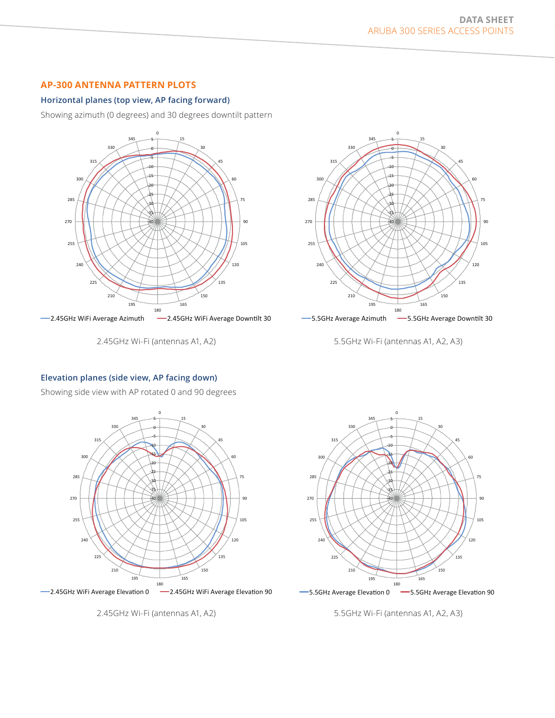## **AP-300 ANTENNA PATTERN PLOTS**

#### **Horizontal planes (top view, AP facing forward)**

Showing azimuth (0 degrees) and 30 degrees downtilt pattern



2.45GHz Wi-Fi (antennas A1, A2)



5.5GHz Wi-Fi (antennas A1, A2, A3)

#### **Elevation planes (side view, AP facing down)**

Showing side view with AP rotated 0 and 90 degrees



-2.45GHz WiFi Average Elevation 0 - -2.45GHz WiFi Average Elevation 90





- 5.5GHz Average Elevation 0 - - 5.5GHz Average Elevation 90

5.5GHz Wi-Fi (antennas A1, A2, A3)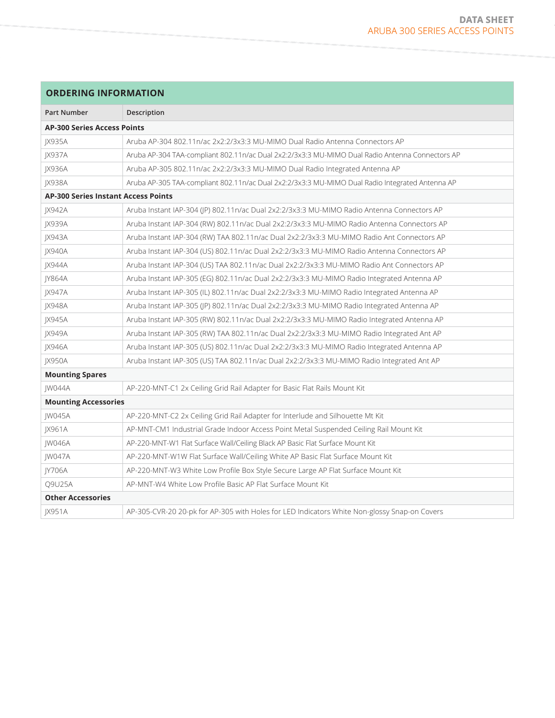| <b>ORDERING INFORMATION</b> |
|-----------------------------|
|                             |

| <b>Part Number</b>                         | Description                                                                                     |  |
|--------------------------------------------|-------------------------------------------------------------------------------------------------|--|
| <b>AP-300 Series Access Points</b>         |                                                                                                 |  |
| <b>IX935A</b>                              | Aruba AP-304 802.11n/ac 2x2:2/3x3:3 MU-MIMO Dual Radio Antenna Connectors AP                    |  |
| JX937A                                     | Aruba AP-304 TAA-compliant 802.11n/ac Dual 2x2:2/3x3:3 MU-MIMO Dual Radio Antenna Connectors AP |  |
| JX936A                                     | Aruba AP-305 802.11n/ac 2x2:2/3x3:3 MU-MIMO Dual Radio Integrated Antenna AP                    |  |
| JX938A                                     | Aruba AP-305 TAA-compliant 802.11n/ac Dual 2x2:2/3x3:3 MU-MIMO Dual Radio Integrated Antenna AP |  |
| <b>AP-300 Series Instant Access Points</b> |                                                                                                 |  |
| <b>JX942A</b>                              | Aruba Instant IAP-304 (JP) 802.11n/ac Dual 2x2:2/3x3:3 MU-MIMO Radio Antenna Connectors AP      |  |
| JX939A                                     | Aruba Instant IAP-304 (RW) 802.11n/ac Dual 2x2:2/3x3:3 MU-MIMO Radio Antenna Connectors AP      |  |
| JX943A                                     | Aruba Instant IAP-304 (RW) TAA 802.11n/ac Dual 2x2:2/3x3:3 MU-MIMO Radio Ant Connectors AP      |  |
| JX940A                                     | Aruba Instant IAP-304 (US) 802.11n/ac Dual 2x2:2/3x3:3 MU-MIMO Radio Antenna Connectors AP      |  |
| JX944A                                     | Aruba Instant IAP-304 (US) TAA 802.11n/ac Dual 2x2:2/3x3:3 MU-MIMO Radio Ant Connectors AP      |  |
| JY864A                                     | Aruba Instant IAP-305 (EG) 802.11n/ac Dual 2x2:2/3x3:3 MU-MIMO Radio Integrated Antenna AP      |  |
| JX947A                                     | Aruba Instant IAP-305 (IL) 802.11n/ac Dual 2x2:2/3x3:3 MU-MIMO Radio Integrated Antenna AP      |  |
| <b>JX948A</b>                              | Aruba Instant IAP-305 (JP) 802.11n/ac Dual 2x2:2/3x3:3 MU-MIMO Radio Integrated Antenna AP      |  |
| JX945A                                     | Aruba Instant IAP-305 (RW) 802.11n/ac Dual 2x2:2/3x3:3 MU-MIMO Radio Integrated Antenna AP      |  |
| JX949A                                     | Aruba Instant IAP-305 (RW) TAA 802.11n/ac Dual 2x2:2/3x3:3 MU-MIMO Radio Integrated Ant AP      |  |
| JX946A                                     | Aruba Instant IAP-305 (US) 802.11n/ac Dual 2x2:2/3x3:3 MU-MIMO Radio Integrated Antenna AP      |  |
| <b>IX950A</b>                              | Aruba Instant IAP-305 (US) TAA 802.11n/ac Dual 2x2:2/3x3:3 MU-MIMO Radio Integrated Ant AP      |  |
| <b>Mounting Spares</b>                     |                                                                                                 |  |
| JW044A                                     | AP-220-MNT-C1 2x Ceiling Grid Rail Adapter for Basic Flat Rails Mount Kit                       |  |
| <b>Mounting Accessories</b>                |                                                                                                 |  |
| JW045A                                     | AP-220-MNT-C2 2x Ceiling Grid Rail Adapter for Interlude and Silhouette Mt Kit                  |  |
| JX961A                                     | AP-MNT-CM1 Industrial Grade Indoor Access Point Metal Suspended Ceiling Rail Mount Kit          |  |
| <b>IW046A</b>                              | AP-220-MNT-W1 Flat Surface Wall/Ceiling Black AP Basic Flat Surface Mount Kit                   |  |
| <b>IW047A</b>                              | AP-220-MNT-W1W Flat Surface Wall/Ceiling White AP Basic Flat Surface Mount Kit                  |  |
| JY706A                                     | AP-220-MNT-W3 White Low Profile Box Style Secure Large AP Flat Surface Mount Kit                |  |
| Q9U25A                                     | AP-MNT-W4 White Low Profile Basic AP Flat Surface Mount Kit                                     |  |
| <b>Other Accessories</b>                   |                                                                                                 |  |
| JX951A                                     | AP-305-CVR-20 20-pk for AP-305 with Holes for LED Indicators White Non-glossy Snap-on Covers    |  |